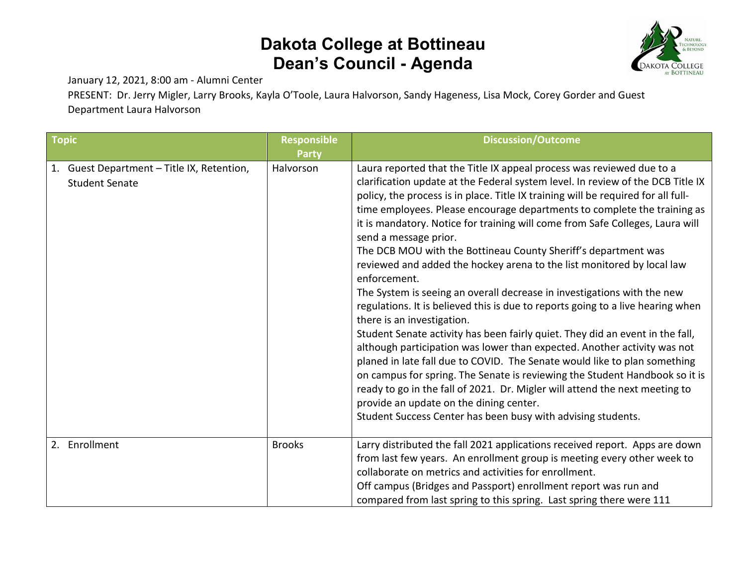

January 12, 2021, 8:00 am - Alumni Center

PRESENT: Dr. Jerry Migler, Larry Brooks, Kayla O'Toole, Laura Halvorson, Sandy Hageness, Lisa Mock, Corey Gorder and Guest Department Laura Halvorson

| <b>Topic</b> |                                                                     | <b>Responsible</b><br>Party | <b>Discussion/Outcome</b>                                                                                                                                                                                                                                                                                                                                                                                                                                                                                                                                                                                                                                                                                                                                                                                                                                                                                                                                                                                                                                                                                                                                                                                                                                                                                      |
|--------------|---------------------------------------------------------------------|-----------------------------|----------------------------------------------------------------------------------------------------------------------------------------------------------------------------------------------------------------------------------------------------------------------------------------------------------------------------------------------------------------------------------------------------------------------------------------------------------------------------------------------------------------------------------------------------------------------------------------------------------------------------------------------------------------------------------------------------------------------------------------------------------------------------------------------------------------------------------------------------------------------------------------------------------------------------------------------------------------------------------------------------------------------------------------------------------------------------------------------------------------------------------------------------------------------------------------------------------------------------------------------------------------------------------------------------------------|
|              | 1. Guest Department - Title IX, Retention,<br><b>Student Senate</b> | Halvorson                   | Laura reported that the Title IX appeal process was reviewed due to a<br>clarification update at the Federal system level. In review of the DCB Title IX<br>policy, the process is in place. Title IX training will be required for all full-<br>time employees. Please encourage departments to complete the training as<br>it is mandatory. Notice for training will come from Safe Colleges, Laura will<br>send a message prior.<br>The DCB MOU with the Bottineau County Sheriff's department was<br>reviewed and added the hockey arena to the list monitored by local law<br>enforcement.<br>The System is seeing an overall decrease in investigations with the new<br>regulations. It is believed this is due to reports going to a live hearing when<br>there is an investigation.<br>Student Senate activity has been fairly quiet. They did an event in the fall,<br>although participation was lower than expected. Another activity was not<br>planed in late fall due to COVID. The Senate would like to plan something<br>on campus for spring. The Senate is reviewing the Student Handbook so it is<br>ready to go in the fall of 2021. Dr. Migler will attend the next meeting to<br>provide an update on the dining center.<br>Student Success Center has been busy with advising students. |
|              | 2. Enrollment                                                       | <b>Brooks</b>               | Larry distributed the fall 2021 applications received report. Apps are down<br>from last few years. An enrollment group is meeting every other week to<br>collaborate on metrics and activities for enrollment.<br>Off campus (Bridges and Passport) enrollment report was run and<br>compared from last spring to this spring. Last spring there were 111                                                                                                                                                                                                                                                                                                                                                                                                                                                                                                                                                                                                                                                                                                                                                                                                                                                                                                                                                     |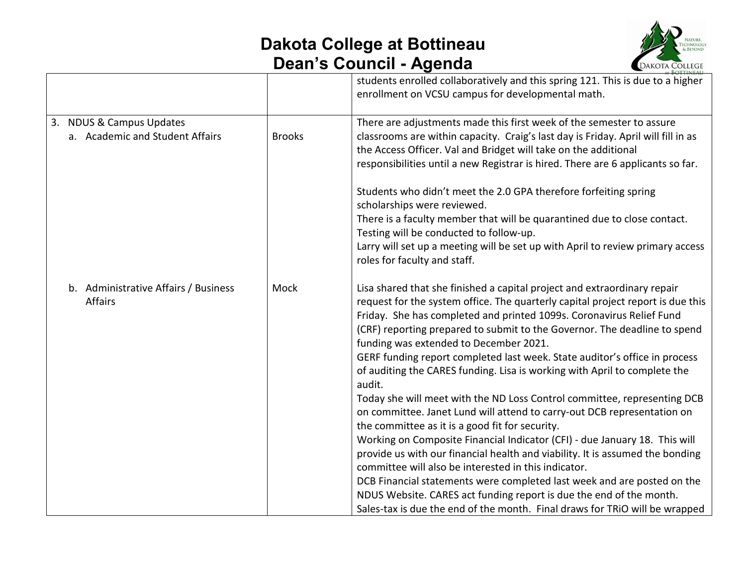

|                                                             |               | students enrolled collaboratively and this spring 121. This is due to a higher<br>enrollment on VCSU campus for developmental math.                                                                                                                                                                                                                                                                                                                                                                                                                                                                                                                                                                                                                                                                                                                                                                                                                                                                                                                                                                                                                                                               |
|-------------------------------------------------------------|---------------|---------------------------------------------------------------------------------------------------------------------------------------------------------------------------------------------------------------------------------------------------------------------------------------------------------------------------------------------------------------------------------------------------------------------------------------------------------------------------------------------------------------------------------------------------------------------------------------------------------------------------------------------------------------------------------------------------------------------------------------------------------------------------------------------------------------------------------------------------------------------------------------------------------------------------------------------------------------------------------------------------------------------------------------------------------------------------------------------------------------------------------------------------------------------------------------------------|
| 3. NDUS & Campus Updates<br>a. Academic and Student Affairs | <b>Brooks</b> | There are adjustments made this first week of the semester to assure<br>classrooms are within capacity. Craig's last day is Friday. April will fill in as<br>the Access Officer. Val and Bridget will take on the additional<br>responsibilities until a new Registrar is hired. There are 6 applicants so far.                                                                                                                                                                                                                                                                                                                                                                                                                                                                                                                                                                                                                                                                                                                                                                                                                                                                                   |
|                                                             |               | Students who didn't meet the 2.0 GPA therefore forfeiting spring<br>scholarships were reviewed.<br>There is a faculty member that will be quarantined due to close contact.<br>Testing will be conducted to follow-up.<br>Larry will set up a meeting will be set up with April to review primary access<br>roles for faculty and staff.                                                                                                                                                                                                                                                                                                                                                                                                                                                                                                                                                                                                                                                                                                                                                                                                                                                          |
| b. Administrative Affairs / Business<br>Affairs             | Mock          | Lisa shared that she finished a capital project and extraordinary repair<br>request for the system office. The quarterly capital project report is due this<br>Friday. She has completed and printed 1099s. Coronavirus Relief Fund<br>(CRF) reporting prepared to submit to the Governor. The deadline to spend<br>funding was extended to December 2021.<br>GERF funding report completed last week. State auditor's office in process<br>of auditing the CARES funding. Lisa is working with April to complete the<br>audit.<br>Today she will meet with the ND Loss Control committee, representing DCB<br>on committee. Janet Lund will attend to carry-out DCB representation on<br>the committee as it is a good fit for security.<br>Working on Composite Financial Indicator (CFI) - due January 18. This will<br>provide us with our financial health and viability. It is assumed the bonding<br>committee will also be interested in this indicator.<br>DCB Financial statements were completed last week and are posted on the<br>NDUS Website. CARES act funding report is due the end of the month.<br>Sales-tax is due the end of the month. Final draws for TRIO will be wrapped |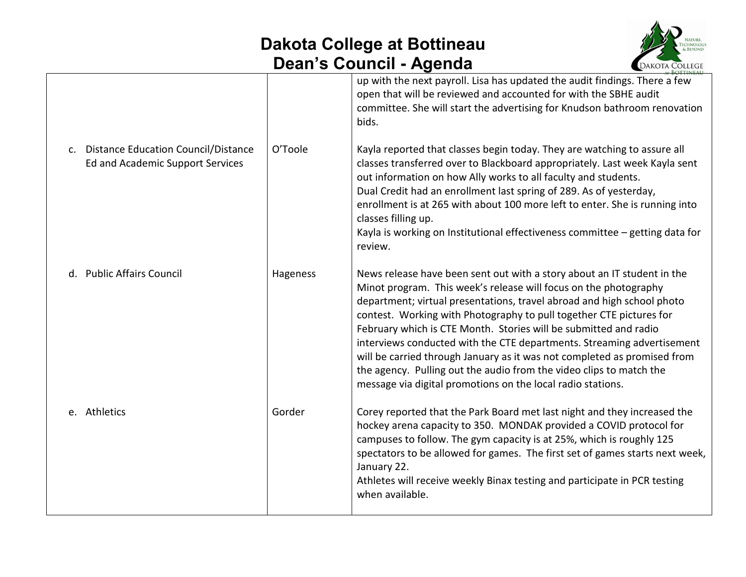

|                                                                                           |          | up with the next payroll. Lisa has updated the audit findings. There a few<br>open that will be reviewed and accounted for with the SBHE audit<br>committee. She will start the advertising for Knudson bathroom renovation<br>bids.                                                                                                                                                                                                                                                                                                                                                                                                                         |
|-------------------------------------------------------------------------------------------|----------|--------------------------------------------------------------------------------------------------------------------------------------------------------------------------------------------------------------------------------------------------------------------------------------------------------------------------------------------------------------------------------------------------------------------------------------------------------------------------------------------------------------------------------------------------------------------------------------------------------------------------------------------------------------|
| Distance Education Council/Distance<br>$\mathsf{C}$ .<br>Ed and Academic Support Services | O'Toole  | Kayla reported that classes begin today. They are watching to assure all<br>classes transferred over to Blackboard appropriately. Last week Kayla sent<br>out information on how Ally works to all faculty and students.<br>Dual Credit had an enrollment last spring of 289. As of yesterday,<br>enrollment is at 265 with about 100 more left to enter. She is running into<br>classes filling up.<br>Kayla is working on Institutional effectiveness committee - getting data for<br>review.                                                                                                                                                              |
| d. Public Affairs Council                                                                 | Hageness | News release have been sent out with a story about an IT student in the<br>Minot program. This week's release will focus on the photography<br>department; virtual presentations, travel abroad and high school photo<br>contest. Working with Photography to pull together CTE pictures for<br>February which is CTE Month. Stories will be submitted and radio<br>interviews conducted with the CTE departments. Streaming advertisement<br>will be carried through January as it was not completed as promised from<br>the agency. Pulling out the audio from the video clips to match the<br>message via digital promotions on the local radio stations. |
| e. Athletics                                                                              | Gorder   | Corey reported that the Park Board met last night and they increased the<br>hockey arena capacity to 350. MONDAK provided a COVID protocol for<br>campuses to follow. The gym capacity is at 25%, which is roughly 125<br>spectators to be allowed for games. The first set of games starts next week,<br>January 22.<br>Athletes will receive weekly Binax testing and participate in PCR testing<br>when available.                                                                                                                                                                                                                                        |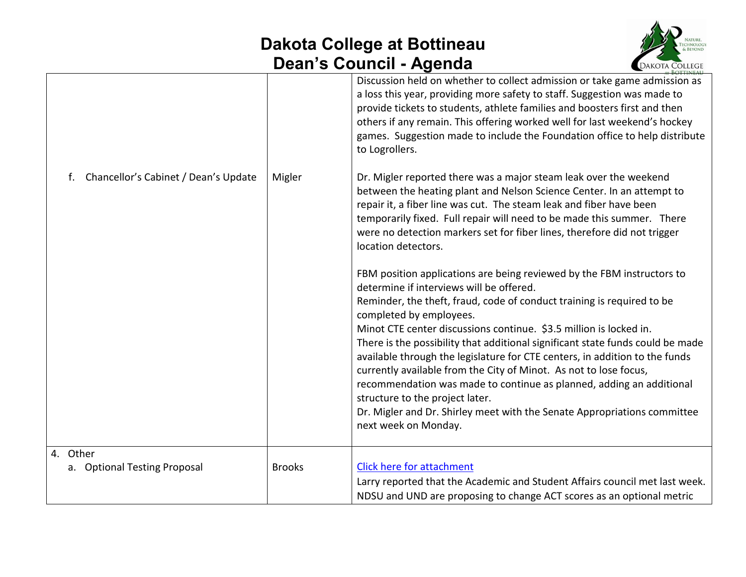

|                                            |               | $\frac{1}{2}$                                                                                                                                                                                                                                                                                                                                                                                                                                                                                                                                                                                                                                                                                                                                                                                                                                         |                        |
|--------------------------------------------|---------------|-------------------------------------------------------------------------------------------------------------------------------------------------------------------------------------------------------------------------------------------------------------------------------------------------------------------------------------------------------------------------------------------------------------------------------------------------------------------------------------------------------------------------------------------------------------------------------------------------------------------------------------------------------------------------------------------------------------------------------------------------------------------------------------------------------------------------------------------------------|------------------------|
| Chancellor's Cabinet / Dean's Update<br>f. | Migler        | Discussion held on whether to collect admission or take game admission as<br>a loss this year, providing more safety to staff. Suggestion was made to<br>provide tickets to students, athlete families and boosters first and then<br>others if any remain. This offering worked well for last weekend's hockey<br>games. Suggestion made to include the Foundation office to help distribute<br>to Logrollers.<br>Dr. Migler reported there was a major steam leak over the weekend<br>between the heating plant and Nelson Science Center. In an attempt to<br>repair it, a fiber line was cut. The steam leak and fiber have been<br>temporarily fixed. Full repair will need to be made this summer. There                                                                                                                                        | <b>CONNOIN COLLEGE</b> |
|                                            |               | were no detection markers set for fiber lines, therefore did not trigger<br>location detectors.<br>FBM position applications are being reviewed by the FBM instructors to<br>determine if interviews will be offered.<br>Reminder, the theft, fraud, code of conduct training is required to be<br>completed by employees.<br>Minot CTE center discussions continue. \$3.5 million is locked in.<br>There is the possibility that additional significant state funds could be made<br>available through the legislature for CTE centers, in addition to the funds<br>currently available from the City of Minot. As not to lose focus,<br>recommendation was made to continue as planned, adding an additional<br>structure to the project later.<br>Dr. Migler and Dr. Shirley meet with the Senate Appropriations committee<br>next week on Monday. |                        |
| 4. Other                                   |               |                                                                                                                                                                                                                                                                                                                                                                                                                                                                                                                                                                                                                                                                                                                                                                                                                                                       |                        |
| a. Optional Testing Proposal               | <b>Brooks</b> | Click here for attachment<br>Larry reported that the Academic and Student Affairs council met last week.                                                                                                                                                                                                                                                                                                                                                                                                                                                                                                                                                                                                                                                                                                                                              |                        |
|                                            |               | NDSU and UND are proposing to change ACT scores as an optional metric                                                                                                                                                                                                                                                                                                                                                                                                                                                                                                                                                                                                                                                                                                                                                                                 |                        |